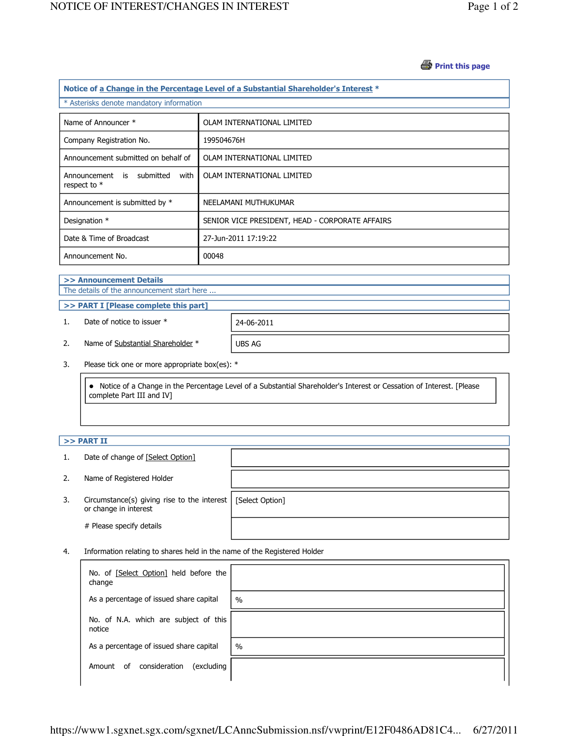## *S* Print this page

| Notice of a Change in the Percentage Level of a Substantial Shareholder's Interest * |                                                 |  |  |  |
|--------------------------------------------------------------------------------------|-------------------------------------------------|--|--|--|
| * Asterisks denote mandatory information                                             |                                                 |  |  |  |
| Name of Announcer *                                                                  | OLAM INTERNATIONAL LIMITED                      |  |  |  |
| Company Registration No.                                                             | 199504676H                                      |  |  |  |
| Announcement submitted on behalf of                                                  | OLAM INTERNATIONAL LIMITED                      |  |  |  |
| submitted<br>with<br>Announcement is<br>respect to $*$                               | OLAM INTERNATIONAL LIMITED                      |  |  |  |
| Announcement is submitted by *                                                       | NEELAMANI MUTHUKUMAR                            |  |  |  |
| Designation *                                                                        | SENIOR VICE PRESIDENT, HEAD - CORPORATE AFFAIRS |  |  |  |
| Date & Time of Broadcast                                                             | 27-Jun-2011 17:19:22                            |  |  |  |
| Announcement No.                                                                     | 00048                                           |  |  |  |
|                                                                                      |                                                 |  |  |  |

## >> Announcement Details The details of the announcement start here ...

## >> PART I [Please complete this part]

1. Date of notice to issuer \* 24-06-2011

2. Name of Substantial Shareholder \* UBS AG

3. Please tick one or more appropriate box(es): \*

 Notice of a Change in the Percentage Level of a Substantial Shareholder's Interest or Cessation of Interest. [Please complete Part III and IV]

# $>>$  PART II

- 1. Date of change of [Select Option]
- 2. Name of Registered Holder
- 3. Circumstance(s) giving rise to the interest [Select Option] or change in interest

# Please specify details

4. Information relating to shares held in the name of the Registered Holder

| No. of [Select Option] held before the<br>change |               |
|--------------------------------------------------|---------------|
| As a percentage of issued share capital          | $\frac{0}{0}$ |
| No. of N.A. which are subject of this<br>notice  |               |
| As a percentage of issued share capital          | $\frac{0}{0}$ |
| consideration<br>(excluding<br>0f<br>Amount      |               |